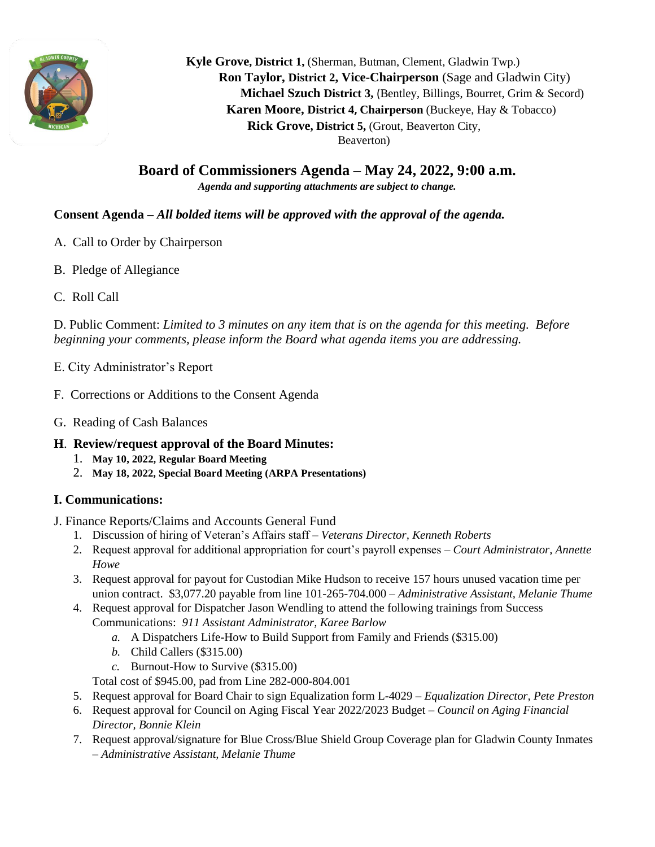

 **Kyle Grove, District 1,** (Sherman, Butman, Clement, Gladwin Twp.)  **Ron Taylor, District 2, Vice-Chairperson** (Sage and Gladwin City)  **Michael Szuch District 3,** (Bentley, Billings, Bourret, Grim & Secord) **Karen Moore, District 4, Chairperson** (Buckeye, Hay & Tobacco) **Rick Grove, District 5,** (Grout, Beaverton City, Beaverton)

**Board of Commissioners Agenda – May 24, 2022, 9:00 a.m.** *Agenda and supporting attachments are subject to change.*

## **Consent Agenda –** *All bolded items will be approved with the approval of the agenda.*

- A. Call to Order by Chairperson
- B. Pledge of Allegiance
- C. Roll Call

D. Public Comment: *Limited to 3 minutes on any item that is on the agenda for this meeting. Before beginning your comments, please inform the Board what agenda items you are addressing.*

- E. City Administrator's Report
- F. Corrections or Additions to the Consent Agenda
- G. Reading of Cash Balances

## **H**. **Review/request approval of the Board Minutes:**

- 1. **May 10, 2022, Regular Board Meeting**
- 2. **May 18, 2022, Special Board Meeting (ARPA Presentations)**

## **I. Communications:**

- J. Finance Reports/Claims and Accounts General Fund
	- 1. Discussion of hiring of Veteran's Affairs staff *– Veterans Director, Kenneth Roberts*
	- 2. Request approval for additional appropriation for court's payroll expenses *– Court Administrator, Annette Howe*
	- 3. Request approval for payout for Custodian Mike Hudson to receive 157 hours unused vacation time per union contract. \$3,077.20 payable from line 101-265-704.000 – *Administrative Assistant, Melanie Thume*
	- 4. Request approval for Dispatcher Jason Wendling to attend the following trainings from Success Communications: *911 Assistant Administrator, Karee Barlow*
		- *a.* A Dispatchers Life-How to Build Support from Family and Friends (\$315.00)
		- *b.* Child Callers (\$315.00)
		- *c.* Burnout-How to Survive (\$315.00)
		- Total cost of \$945.00, pad from Line 282-000-804.001
	- 5. Request approval for Board Chair to sign Equalization form L-4029 *Equalization Director, Pete Preston*
	- 6. Request approval for Council on Aging Fiscal Year 2022/2023 Budget *– Council on Aging Financial Director, Bonnie Klein*
	- 7. Request approval/signature for Blue Cross/Blue Shield Group Coverage plan for Gladwin County Inmates – *Administrative Assistant, Melanie Thume*